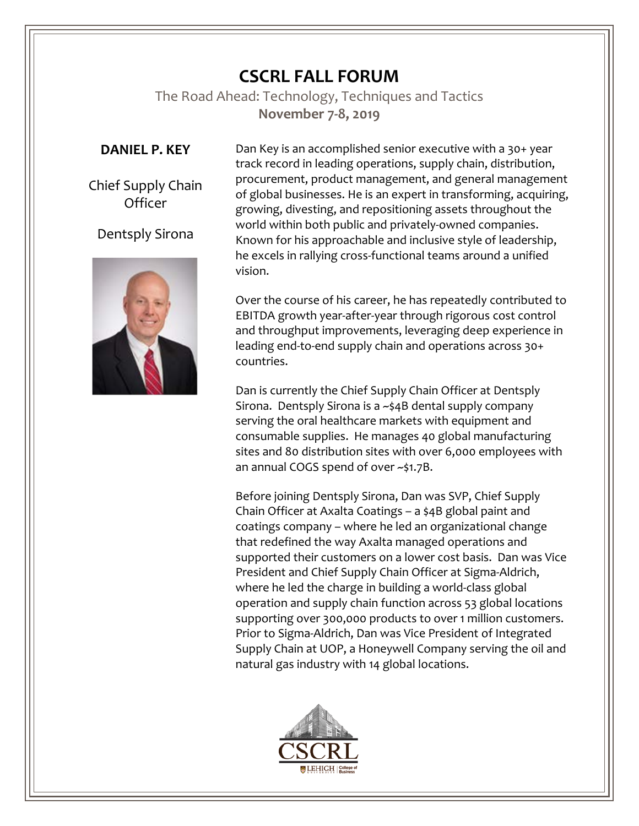## **CSCRL FALL FORUM**

The Road Ahead: Technology, Techniques and Tactics **November 7-8, 2019**

## **DANIEL P. KEY**

Chief Supply Chain **Officer** 

## Dentsply Sirona



Dan Key is an accomplished senior executive with a 30+ year track record in leading operations, supply chain, distribution, procurement, product management, and general management of global businesses. He is an expert in transforming, acquiring, growing, divesting, and repositioning assets throughout the world within both public and privately-owned companies. Known for his approachable and inclusive style of leadership, he excels in rallying cross-functional teams around a unified vision.

Over the course of his career, he has repeatedly contributed to EBITDA growth year-after-year through rigorous cost control and throughput improvements, leveraging deep experience in leading end-to-end supply chain and operations across 30+ countries.

Dan is currently the Chief Supply Chain Officer at Dentsply Sirona. Dentsply Sirona is a ~\$4B dental supply company serving the oral healthcare markets with equipment and consumable supplies. He manages 40 global manufacturing sites and 80 distribution sites with over 6,000 employees with an annual COGS spend of over ~\$1.7B.

Before joining Dentsply Sirona, Dan was SVP, Chief Supply Chain Officer at Axalta Coatings – a \$4B global paint and coatings company – where he led an organizational change that redefined the way Axalta managed operations and supported their customers on a lower cost basis. Dan was Vice President and Chief Supply Chain Officer at Sigma-Aldrich, where he led the charge in building a world-class global operation and supply chain function across 53 global locations supporting over 300,000 products to over 1 million customers. Prior to Sigma-Aldrich, Dan was Vice President of Integrated Supply Chain at UOP, a Honeywell Company serving the oil and natural gas industry with 14 global locations.